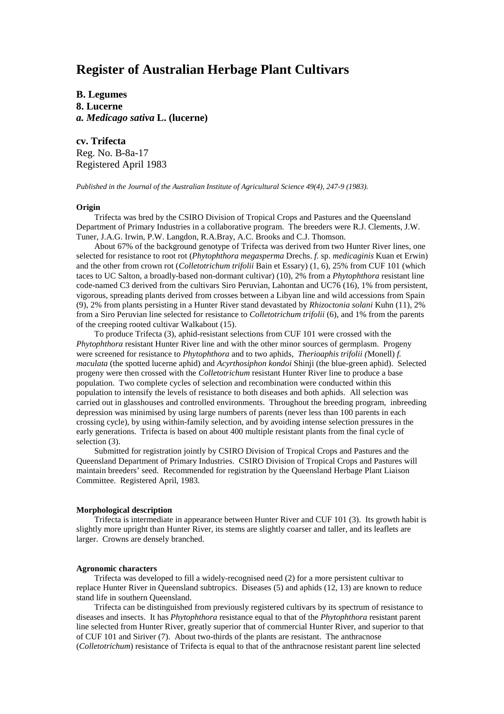# **Register of Australian Herbage Plant Cultivars**

**B. Legumes 8. Lucerne** *a. Medicago sativa* **L. (lucerne)**

**cv. Trifecta** Reg. No. B-8a-17 Registered April 1983

*Published in the Journal of the Australian Institute of Agricultural Science 49(4), 247-9 (1983).*

#### **Origin**

Trifecta was bred by the CSIRO Division of Tropical Crops and Pastures and the Queensland Department of Primary Industries in a collaborative program. The breeders were R.J. Clements, J.W. Tuner, J.A.G. Irwin, P.W. Langdon, R.A.Bray, A.C. Brooks and C.J. Thomson.

About 67% of the background genotype of Trifecta was derived from two Hunter River lines, one selected for resistance to root rot (*Phytophthora megasperma* Drechs. *f.* sp. *medicaginis* Kuan et Erwin) and the other from crown rot (*Colletotrichum trifolii* Bain et Essary) (1, 6), 25% from CUF 101 (which taces to UC Salton, a broadly-based non-dormant cultivar) (10), 2% from a *Phytophthora* resistant line code-named C3 derived from the cultivars Siro Peruvian, Lahontan and UC76 (16), 1% from persistent, vigorous, spreading plants derived from crosses between a Libyan line and wild accessions from Spain (9), 2% from plants persisting in a Hunter River stand devastated by *Rhizoctonia solani* Kuhn (11), 2% from a Siro Peruvian line selected for resistance to *Colletotrichum trifolii* (6), and 1% from the parents of the creeping rooted cultivar Walkabout (15).

To produce Trifecta (3), aphid-resistant selections from CUF 101 were crossed with the *Phytophthora* resistant Hunter River line and with the other minor sources of germplasm. Progeny were screened for resistance to *Phytophthora* and to two aphids, *Therioaphis trifolii (*Monell) *f. maculata* (the spotted lucerne aphid) and *Acyrthosiphon kondoi* Shinji (the blue-green aphid). Selected progeny were then crossed with the *Colletotrichum* resistant Hunter River line to produce a base population. Two complete cycles of selection and recombination were conducted within this population to intensify the levels of resistance to both diseases and both aphids. All selection was carried out in glasshouses and controlled environments. Throughout the breeding program, inbreeding depression was minimised by using large numbers of parents (never less than 100 parents in each crossing cycle), by using within-family selection, and by avoiding intense selection pressures in the early generations. Trifecta is based on about 400 multiple resistant plants from the final cycle of selection (3).

Submitted for registration jointly by CSIRO Division of Tropical Crops and Pastures and the Queensland Department of Primary Industries. CSIRO Division of Tropical Crops and Pastures will maintain breeders' seed. Recommended for registration by the Queensland Herbage Plant Liaison Committee. Registered April, 1983.

## **Morphological description**

Trifecta is intermediate in appearance between Hunter River and CUF 101 (3). Its growth habit is slightly more upright than Hunter River, its stems are slightly coarser and taller, and its leaflets are larger. Crowns are densely branched.

#### **Agronomic characters**

Trifecta was developed to fill a widely-recognised need (2) for a more persistent cultivar to replace Hunter River in Queensland subtropics. Diseases (5) and aphids (12, 13) are known to reduce stand life in southern Queensland.

Trifecta can be distinguished from previously registered cultivars by its spectrum of resistance to diseases and insects. It has *Phytophthora* resistance equal to that of the *Phytophthora* resistant parent line selected from Hunter River, greatly superior that of commercial Hunter River, and superior to that of CUF 101 and Siriver (7). About two-thirds of the plants are resistant. The anthracnose (*Colletotrichum*) resistance of Trifecta is equal to that of the anthracnose resistant parent line selected